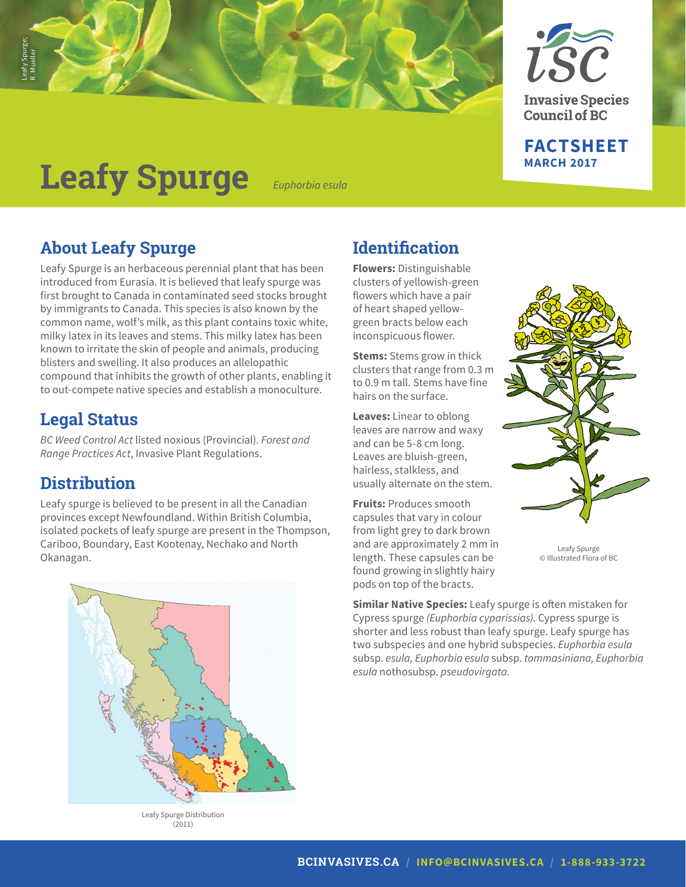



**FACTSHEET**

**MARCH 2017**

**Leafy Spurge** *Euphorbia esula*

## **About Leafy Spurge**

Leafy Spurge is an herbaceous perennial plant that has been introduced from Eurasia. It is believed that leafy spurge was first brought to Canada in contaminated seed stocks brought by immigrants to Canada. This species is also known by the common name, wolf's milk, as this plant contains toxic white, milky latex in its leaves and stems. This milky latex has been known to irritate the skin of people and animals, producing blisters and swelling. It also produces an allelopathic compound that inhibits the growth of other plants, enabling it to out-compete native species and establish a monoculture.

## **Legal Status**

*BC Weed Control Act* listed noxious (Provincial). *Forest and Range Practices Act*, Invasive Plant Regulations.

## **Distribution**

Leafy spurge is believed to be present in all the Canadian provinces except Newfoundland. Within British Columbia, isolated pockets of leafy spurge are present in the Thompson, Cariboo, Boundary, East Kootenay, Nechako and North Okanagan.



Leafy Spurge Distribution (2011)

## **Identification**

**Flowers:** Distinguishable clusters of yellowish-green flowers which have a pair of heart shaped yellowgreen bracts below each inconspicuous flower.

**Stems:** Stems grow in thick clusters that range from 0.3 m to 0.9 m tall. Stems have fine hairs on the surface.

**Leaves:** Linear to oblong leaves are narrow and waxy and can be 5-8 cm long. Leaves are bluish-green, hairless, stalkless, and usually alternate on the stem.

**Fruits:** Produces smooth capsules that vary in colour from light grey to dark brown and are approximately 2 mm in length. These capsules can be found growing in slightly hairy pods on top of the bracts.



Leafy Spurge © Illustrated Flora of BC

**Similar Native Species:** Leafy spurge is often mistaken for Cypress spurge *(Euphorbia cyparissias)*. Cypress spurge is shorter and less robust than leafy spurge. Leafy spurge has two subspecies and one hybrid subspecies. *Euphorbia esula*  subsp. *esula, Euphorbia esula* subsp. *tommasiniana, Euphorbia esula* nothosubsp. *pseudovirgata.*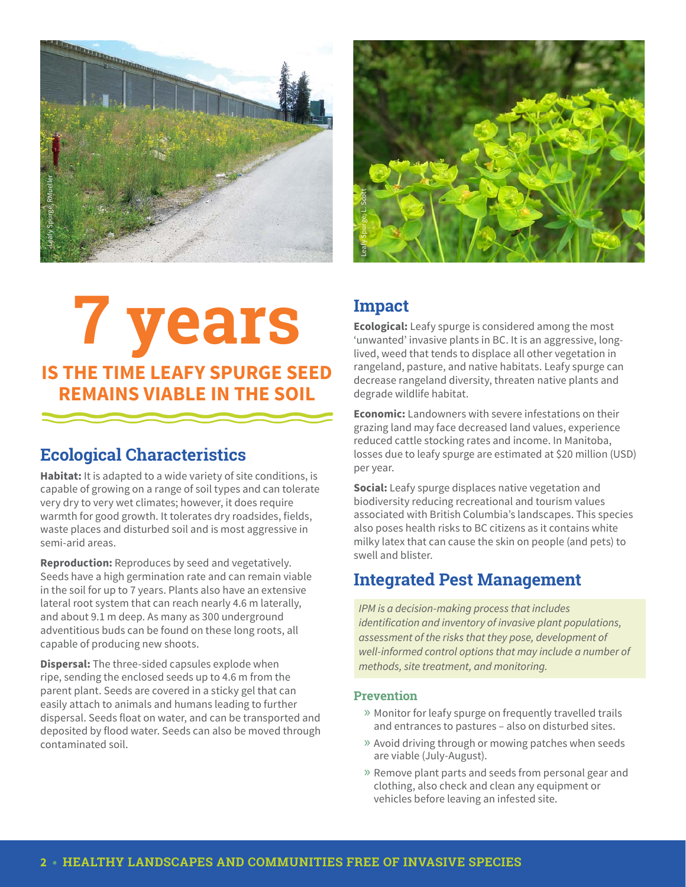

# **7 years IS THE TIME LEAFY SPURGE seed REMAINS VIABLE IN THE SOIL**

## **Ecological Characteristics**

**Habitat:** It is adapted to a wide variety of site conditions, is capable of growing on a range of soil types and can tolerate very dry to very wet climates; however, it does require warmth for good growth. It tolerates dry roadsides, fields, waste places and disturbed soil and is most aggressive in semi-arid areas.

**Reproduction:** Reproduces by seed and vegetatively. Seeds have a high germination rate and can remain viable in the soil for up to 7 years. Plants also have an extensive lateral root system that can reach nearly 4.6 m laterally, and about 9.1 m deep. As many as 300 underground adventitious buds can be found on these long roots, all capable of producing new shoots.

**Dispersal:** The three-sided capsules explode when ripe, sending the enclosed seeds up to 4.6 m from the parent plant. Seeds are covered in a sticky gel that can easily attach to animals and humans leading to further dispersal. Seeds float on water, and can be transported and deposited by flood water. Seeds can also be moved through contaminated soil.



## **Impact**

**Ecological:** Leafy spurge is considered among the most 'unwanted' invasive plants in BC. It is an aggressive, longlived, weed that tends to displace all other vegetation in rangeland, pasture, and native habitats. Leafy spurge can decrease rangeland diversity, threaten native plants and degrade wildlife habitat.

**Economic:** Landowners with severe infestations on their grazing land may face decreased land values, experience reduced cattle stocking rates and income. In Manitoba, losses due to leafy spurge are estimated at \$20 million (USD) per year.

**Social:** Leafy spurge displaces native vegetation and biodiversity reducing recreational and tourism values associated with British Columbia's landscapes. This species also poses health risks to BC citizens as it contains white milky latex that can cause the skin on people (and pets) to swell and blister.

## **Integrated Pest Management**

*IPM is a decision-making process that includes*  identification and inventory of invasive plant populations, assessment of the risks that they pose, development of well-informed control options that may include a number of *methods, site treatment, and monitoring.*

#### **Prevention**

- » Monitor for leafy spurge on frequently travelled trails and entrances to pastures – also on disturbed sites.
- » Avoid driving through or mowing patches when seeds are viable (July-August).
- » Remove plant parts and seeds from personal gear and clothing, also check and clean any equipment or vehicles before leaving an infested site.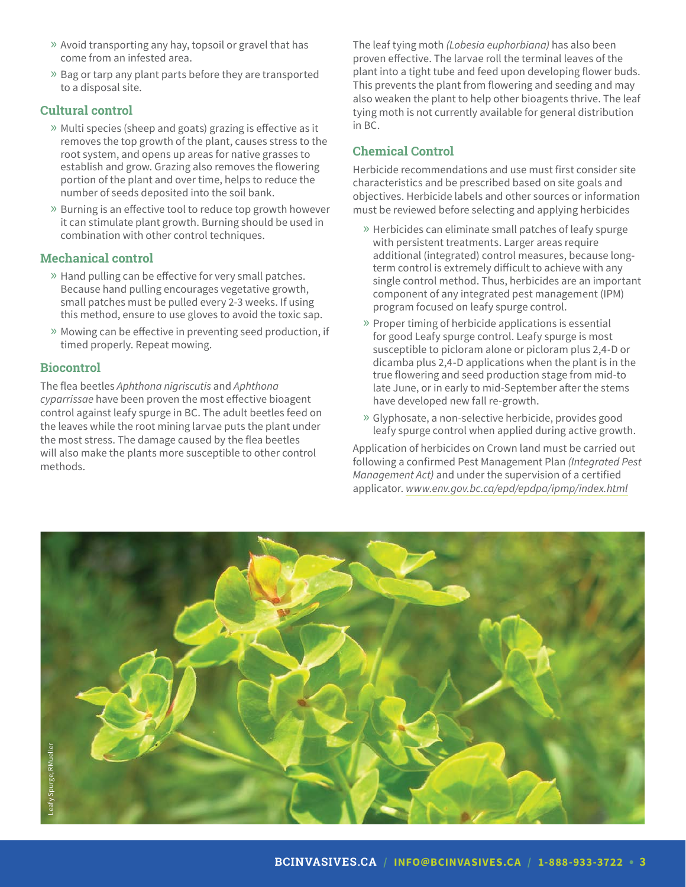- » Avoid transporting any hay, topsoil or gravel that has come from an infested area.
- » Bag or tarp any plant parts before they are transported to a disposal site.

#### **Cultural control**

- » Multi species (sheep and goats) grazing is effective as it removes the top growth of the plant, causes stress to the root system, and opens up areas for native grasses to establish and grow. Grazing also removes the flowering portion of the plant and over time, helps to reduce the number of seeds deposited into the soil bank.
- » Burning is an effective tool to reduce top growth however it can stimulate plant growth. Burning should be used in combination with other control techniques.

#### **Mechanical control**

- » Hand pulling can be effective for very small patches. Because hand pulling encourages vegetative growth, small patches must be pulled every 2-3 weeks. If using this method, ensure to use gloves to avoid the toxic sap.
- » Mowing can be effective in preventing seed production, if timed properly. Repeat mowing.

#### **Biocontrol**

The flea beetles *Aphthona nigriscutis* and *Aphthona cyparrissae* have been proven the most effective bioagent control against leafy spurge in BC. The adult beetles feed on the leaves while the root mining larvae puts the plant under the most stress. The damage caused by the flea beetles will also make the plants more susceptible to other control methods.

The leaf tying moth *(Lobesia euphorbiana)* has also been proven effective. The larvae roll the terminal leaves of the plant into a tight tube and feed upon developing flower buds. This prevents the plant from flowering and seeding and may also weaken the plant to help other bioagents thrive. The leaf tying moth is not currently available for general distribution in BC.

#### **Chemical Control**

Herbicide recommendations and use must first consider site characteristics and be prescribed based on site goals and objectives. Herbicide labels and other sources or information must be reviewed before selecting and applying herbicides

- » Herbicides can eliminate small patches of leafy spurge with persistent treatments. Larger areas require additional (integrated) control measures, because longterm control is extremely difficult to achieve with any single control method. Thus, herbicides are an important component of any integrated pest management (IPM) program focused on leafy spurge control.
- » Proper timing of herbicide applications is essential for good Leafy spurge control. Leafy spurge is most susceptible to picloram alone or picloram plus 2,4-D or dicamba plus 2,4-D applications when the plant is in the true flowering and seed production stage from mid-to late June, or in early to mid-September after the stems have developed new fall re-growth.
- » Glyphosate, a non-selective herbicide, provides good leafy spurge control when applied during active growth.

Application of herbicides on Crown land must be carried out following a confirmed Pest Management Plan *(Integrated Pest Management Act)* and under the supervision of a certified applicator. *www.env.gov.bc.ca/epd/epdpa/ipmp/index.html*